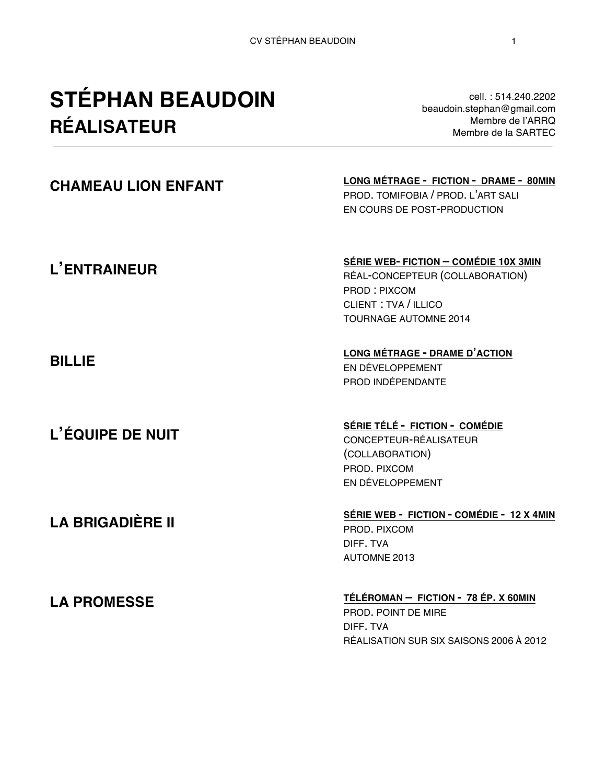# **STÉPHAN BEAUDOIN RÉALISATEUR**

cell. : 514.240.2202 beaudoin.stephan@gmail.com Membre de l'ARRQ Membre de la SARTEC

#### **CHAMEAU LION ENFANT LONG MÉTRAGE - FICTION - DRAME - 80MIN** PROD. TOMIFOBIA / PROD. L'ART SALI EN COURS DE POST-PRODUCTION **L'ENTRAINEUR BILLIE L'ÉQUIPE DE NUIT LA BRIGADIÈRE II SÉRIE WEB- FICTION – COMÉDIE 10X 3MIN** RÉAL-CONCEPTEUR (COLLABORATION) PROD : PIXCOM CLIENT : TVA / ILLICO TOURNAGE AUTOMNE 2014 **LONG MÉTRAGE - DRAME D'ACTION** EN DÉVELOPPEMENT PROD INDÉPENDANTE **SÉRIE TÉLÉ - FICTION - COMÉDIE** CONCEPTEUR-RÉALISATEUR (COLLABORATION) PROD. PIXCOM EN DÉVELOPPEMENT **SÉRIE WEB - FICTION - COMÉDIE - 12 X 4MIN** PROD. PIXCOM DIFF. TVA AUTOMNE 2013 **LA PROMESSE TÉLÉROMAN – FICTION - 78 ÉP. X 60MIN**  PROD. POINT DE MIRE

DIFF. TVA

RÉALISATION SUR SIX SAISONS 2006 À 2012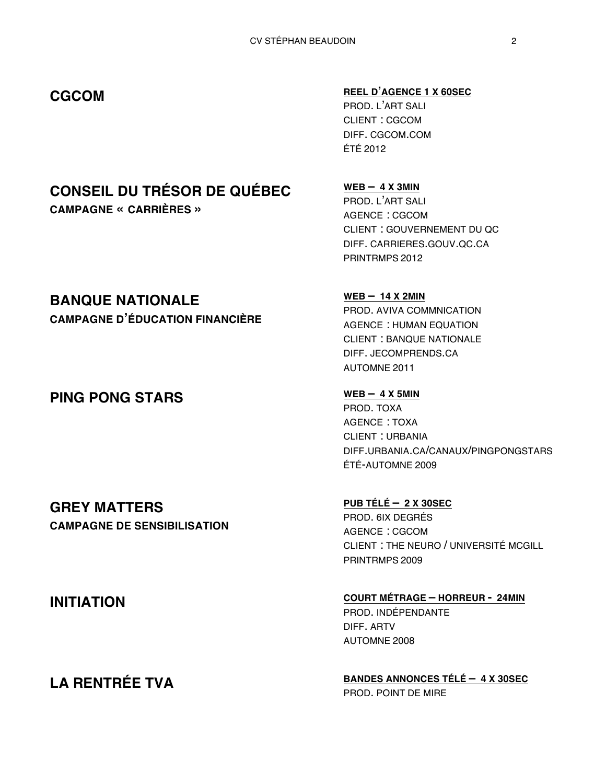## **CONSEIL DU TRÉSOR DE QUÉBEC**

**CAMPAGNE « CARRIÈRES »**

#### **BANQUE NATIONALE**

**CAMPAGNE D'ÉDUCATION FINANCIÈRE**

### **PING PONG STARS** WEB – 4 X 5MIN

#### **GREY MATTERS CAMPAGNE DE SENSIBILISATION**

#### **CGCOM REEL D'AGENCE <sup>1</sup> X 60SEC**

PROD. L'ART SALI CLIENT : CGCOM DIFF. CGCOM.COM ÉTÉ 2012

**WEB – 4 X 3MIN** PROD. L'ART SALI AGENCE : CGCOM CLIENT : GOUVERNEMENT DU QC DIFF. CARRIERES.GOUV.QC.CA PRINTRMPS 2012

#### **WEB – 14 X 2MIN** PROD. AVIVA COMMNICATION AGENCE : HUMAN EQUATION CLIENT : BANQUE NATIONALE DIFF. JECOMPRENDS.CA AUTOMNE 2011

PROD. TOXA AGENCE : TOXA CLIENT : URBANIA DIFF.URBANIA.CA/CANAUX/PINGPONGSTARS ÉTÉ-AUTOMNE 2009

**PUB TÉLÉ – 2 X 30SEC** PROD. 6IX DEGRÉS AGENCE : CGCOM CLIENT : THE NEURO / UNIVERSITÉ MCGILL PRINTRMPS 2009

**INITIATION COURT MÉTRAGE – HORREUR - 24MIN** PROD. INDÉPENDANTE DIFF. ARTV AUTOMNE 2008

**LA RENTRÉE TVA BANDES ANNONCES TÉLÉ – 4 X 30SEC** PROD. POINT DE MIRE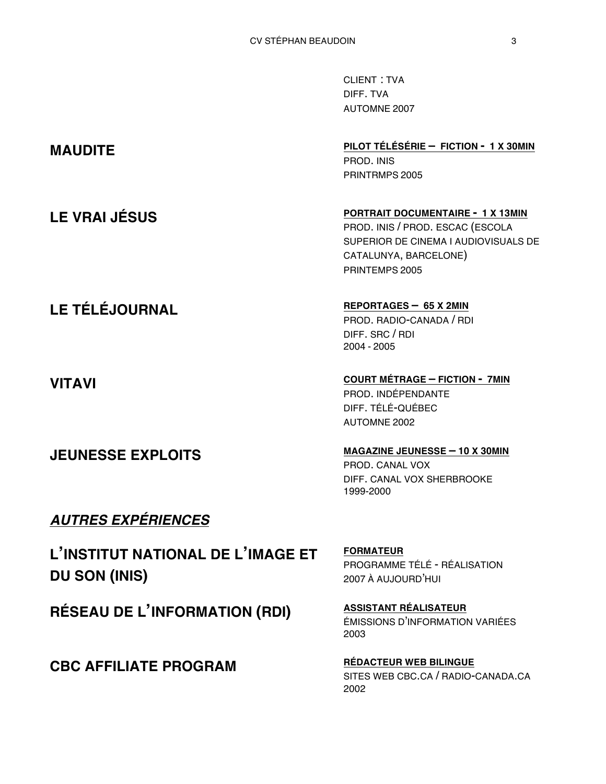|                       | <b>CLIENT: TVA</b><br>DIFF. TVA<br><b>AUTOMNE 2007</b>                                                                                                   |
|-----------------------|----------------------------------------------------------------------------------------------------------------------------------------------------------|
| <b>MAUDITE</b>        | PILOT TÉLÉSÉRIE - FICTION - 1 X 30MIN<br>PROD. INIS<br>PRINTRMPS 2005                                                                                    |
| <b>LE VRAI JÉSUS</b>  | PORTRAIT DOCUMENTAIRE - 1 X 13MIN<br>PROD. INIS / PROD. ESCAC (ESCOLA<br>SUPERIOR DE CINEMA I AUDIOVISUALS DE<br>CATALUNYA, BARCELONE)<br>PRINTEMPS 2005 |
| <b>LE TÉLÉJOURNAL</b> | REPORTAGES - 65 X 2MIN<br>PROD. RADIO-CANADA / RDI<br>DIFF. SRC / RDI<br>2004 - 2005                                                                     |
| <b>VITAVI</b>         | <b>COURT MÉTRAGE - FICTION - 7MIN</b><br>PROD. INDÉPENDANTE<br>DIFF. TÉLÉ-QUÉBEC                                                                         |

**JEUNESSE EXPLOITS MAGAZINE JEUNESSE – <sup>10</sup> X 30MIN** PROD. CANAL VOX DIFF. CANAL VOX SHERBROOKE 1999-2000

AUTOMNE 2002

### *AUTRES EXPÉRIENCES*

**L'INSTITUT NATIONAL DE L'IMAGE ET DU SON (INIS)**

**RÉSEAU DE L'INFORMATION (RDI) ASSISTANT RÉALISATEUR**

**CBC AFFILIATE PROGRAM RÉDACTEUR WEB BILINGUE**

**FORMATEUR** PROGRAMME TÉLÉ - RÉALISATION 2007 À AUJOURD'HUI

ÉMISSIONS D'INFORMATION VARIÉES 2003

SITES WEB CBC.CA / RADIO-CANADA.CA 2002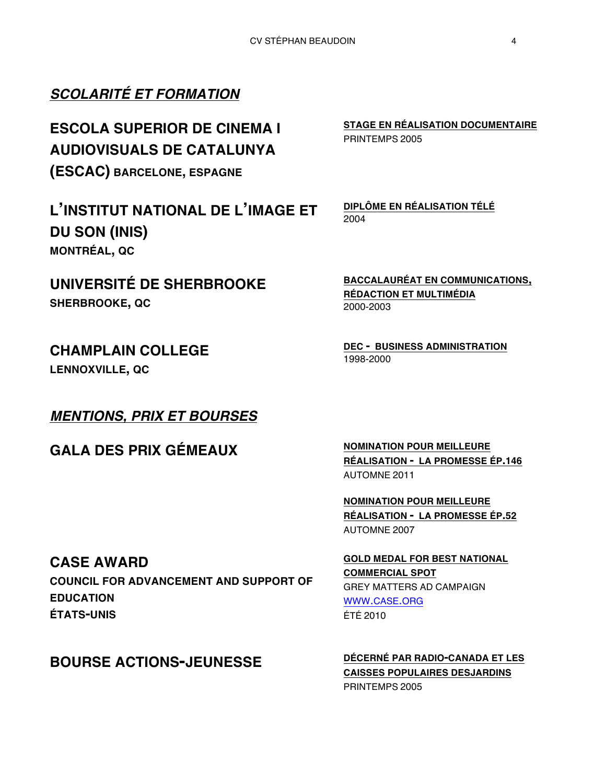### *SCOLARITÉ ET FORMATION*

**ESCOLA SUPERIOR DE CINEMA I AUDIOVISUALS DE CATALUNYA (ESCAC) BARCELONE, ESPAGNE**

**L'INSTITUT NATIONAL DE L'IMAGE ET DU SON (INIS) MONTRÉAL, QC**

**UNIVERSITÉ DE SHERBROOKE SHERBROOKE, QC**

**CHAMPLAIN COLLEGE**

**LENNOXVILLE, QC**

#### *MENTIONS, PRIX ET BOURSES*

GALA DES PRIX GÉMEAUX MOMINATION POUR MEILLEURE

**BACCALAURÉAT EN COMMUNICATIONS, RÉDACTION ET MULTIMÉDIA** 2000-2003

**DEC - BUSINESS ADMINISTRATION** 1998-2000

**RÉALISATION - LA PROMESSE ÉP.146** AUTOMNE 2011

**NOMINATION POUR MEILLEURE RÉALISATION - LA PROMESSE ÉP.52** AUTOMNE 2007

**GOLD MEDAL FOR BEST NATIONAL** 

GREY MATTERS AD CAMPAIGN

**COMMERCIAL SPOT**

WWW.CASE.ORG

ÉTÉ 2010

**CASE AWARD**

**COUNCIL FOR ADVANCEMENT AND SUPPORT OF EDUCATION ÉTATS-UNIS**

### **BOURSE ACTIONS-JEUNESSE DÉCERNÉ PAR RADIO-CANADA ET LES**

**CAISSES POPULAIRES DESJARDINS** PRINTEMPS 2005

**STAGE EN RÉALISATION DOCUMENTAIRE** PRINTEMPS 2005

**DIPLÔME EN RÉALISATION TÉLÉ** 2004